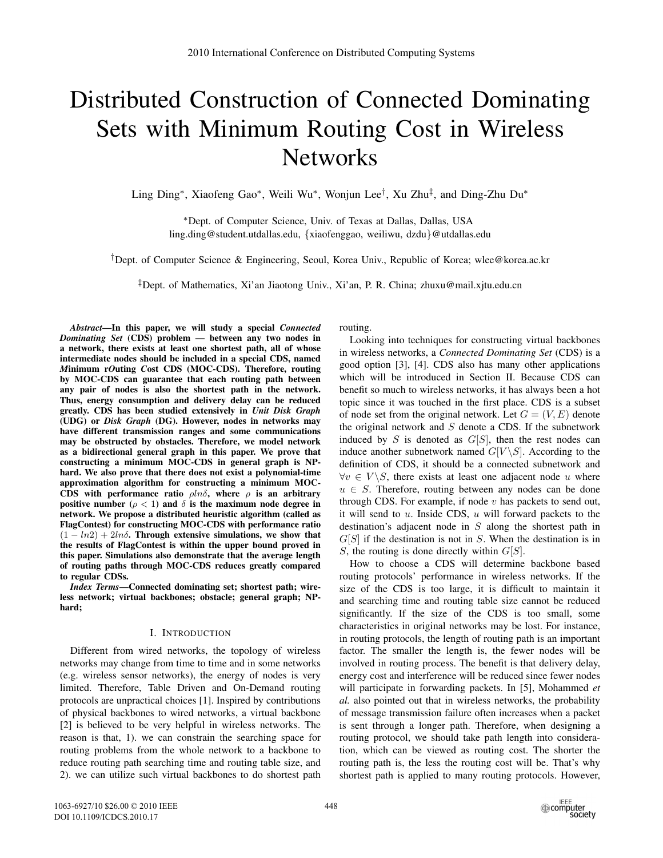# Distributed Construction of Connected Dominating Sets with Minimum Routing Cost in Wireless Networks

Ling Ding∗, Xiaofeng Gao∗, Weili Wu∗, Wonjun Lee†, Xu Zhu‡, and Ding-Zhu Du∗

∗Dept. of Computer Science, Univ. of Texas at Dallas, Dallas, USA ling.ding@student.utdallas.edu, {xiaofenggao, weiliwu, dzdu}@utdallas.edu

†Dept. of Computer Science & Engineering, Seoul, Korea Univ., Republic of Korea; wlee@korea.ac.kr

‡Dept. of Mathematics, Xi'an Jiaotong Univ., Xi'an, P. R. China; zhuxu@mail.xjtu.edu.cn

*Abstract***—In this paper, we will study a special** *Connected Dominating Set* **(CDS) problem — between any two nodes in a network, there exists at least one shortest path, all of whose intermediate nodes should be included in a special CDS, named** *M***inimum r***O***uting** *C***ost CDS (MOC-CDS). Therefore, routing by MOC-CDS can guarantee that each routing path between any pair of nodes is also the shortest path in the network. Thus, energy consumption and delivery delay can be reduced greatly. CDS has been studied extensively in** *Unit Disk Graph* **(UDG) or** *Disk Graph* **(DG). However, nodes in networks may have different transmission ranges and some communications may be obstructed by obstacles. Therefore, we model network as a bidirectional general graph in this paper. We prove that constructing a minimum MOC-CDS in general graph is NPhard. We also prove that there does not exist a polynomial-time approximation algorithm for constructing a minimum MOC-CDS with performance ratio** ρlnδ**, where** ρ **is an arbitrary positive number** ( $\rho < 1$ ) and  $\delta$  is the maximum node degree in **network. We propose a distributed heuristic algorithm (called as FlagContest) for constructing MOC-CDS with performance ratio** (1 *−* ln2) + 2lnδ**. Through extensive simulations, we show that the results of FlagContest is within the upper bound proved in this paper. Simulations also demonstrate that the average length of routing paths through MOC-CDS reduces greatly compared to regular CDSs.**

*Index Terms***—Connected dominating set; shortest path; wireless network; virtual backbones; obstacle; general graph; NPhard;**

### I. INTRODUCTION

Different from wired networks, the topology of wireless networks may change from time to time and in some networks (e.g. wireless sensor networks), the energy of nodes is very limited. Therefore, Table Driven and On-Demand routing protocols are unpractical choices [1]. Inspired by contributions of physical backbones to wired networks, a virtual backbone [2] is believed to be very helpful in wireless networks. The reason is that, 1). we can constrain the searching space for routing problems from the whole network to a backbone to reduce routing path searching time and routing table size, and 2). we can utilize such virtual backbones to do shortest path routing.

Looking into techniques for constructing virtual backbones in wireless networks, a *Connected Dominating Set* (CDS) is a good option [3], [4]. CDS also has many other applications which will be introduced in Section II. Because CDS can benefit so much to wireless networks, it has always been a hot topic since it was touched in the first place. CDS is a subset of node set from the original network. Let  $G = (V, E)$  denote the original network and  $S$  denote a CDS. If the subnetwork induced by  $S$  is denoted as  $G[S]$ , then the rest nodes can induce another subnetwork named  $G[V \backslash S]$ . According to the definition of CDS, it should be a connected subnetwork and  $\forall v \in V \backslash S$ , there exists at least one adjacent node u where  $u \in S$ . Therefore, routing between any nodes can be done through CDS. For example, if node  $v$  has packets to send out, it will send to  $u$ . Inside CDS,  $u$  will forward packets to the destination's adjacent node in S along the shortest path in  $G[S]$  if the destination is not in S. When the destination is in S, the routing is done directly within  $G[S]$ .

How to choose a CDS will determine backbone based routing protocols' performance in wireless networks. If the size of the CDS is too large, it is difficult to maintain it and searching time and routing table size cannot be reduced significantly. If the size of the CDS is too small, some characteristics in original networks may be lost. For instance, in routing protocols, the length of routing path is an important factor. The smaller the length is, the fewer nodes will be involved in routing process. The benefit is that delivery delay, energy cost and interference will be reduced since fewer nodes will participate in forwarding packets. In [5], Mohammed *et al.* also pointed out that in wireless networks, the probability of message transmission failure often increases when a packet is sent through a longer path. Therefore, when designing a routing protocol, we should take path length into consideration, which can be viewed as routing cost. The shorter the routing path is, the less the routing cost will be. That's why shortest path is applied to many routing protocols. However,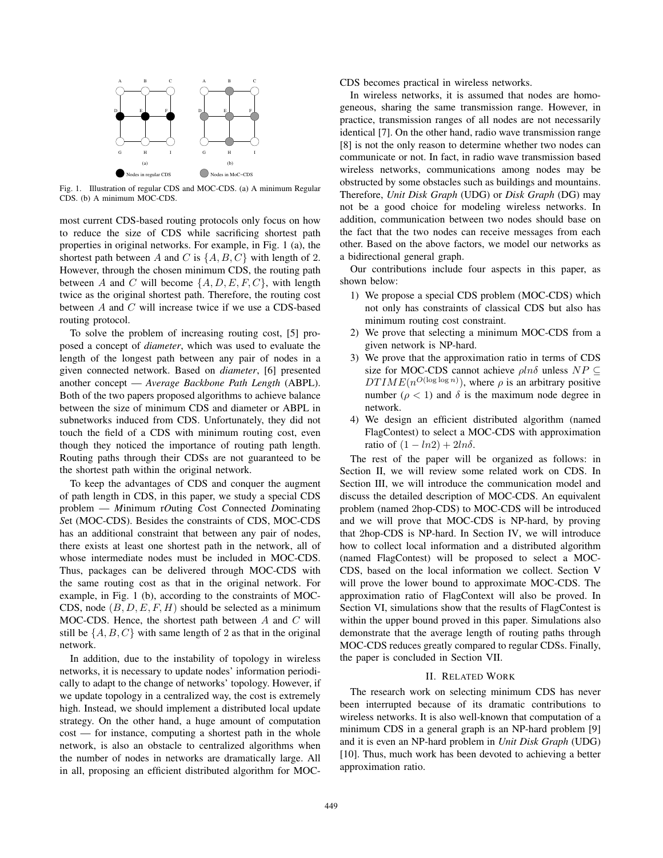

Fig. 1. Illustration of regular CDS and MOC-CDS. (a) A minimum Regular CDS. (b) A minimum MOC-CDS.

most current CDS-based routing protocols only focus on how to reduce the size of CDS while sacrificing shortest path properties in original networks. For example, in Fig. 1 (a), the shortest path between A and C is  $\{A, B, C\}$  with length of 2. However, through the chosen minimum CDS, the routing path between A and C will become  $\{A, D, E, F, C\}$ , with length twice as the original shortest path. Therefore, the routing cost between A and C will increase twice if we use a CDS-based routing protocol.

To solve the problem of increasing routing cost, [5] proposed a concept of *diameter*, which was used to evaluate the length of the longest path between any pair of nodes in a given connected network. Based on *diameter*, [6] presented another concept — *Average Backbone Path Length* (ABPL). Both of the two papers proposed algorithms to achieve balance between the size of minimum CDS and diameter or ABPL in subnetworks induced from CDS. Unfortunately, they did not touch the field of a CDS with minimum routing cost, even though they noticed the importance of routing path length. Routing paths through their CDSs are not guaranteed to be the shortest path within the original network.

To keep the advantages of CDS and conquer the augment of path length in CDS, in this paper, we study a special CDS problem — *M*inimum r*O*uting *C*ost *C*onnected *D*ominating *S*et (MOC-CDS). Besides the constraints of CDS, MOC-CDS has an additional constraint that between any pair of nodes, there exists at least one shortest path in the network, all of whose intermediate nodes must be included in MOC-CDS. Thus, packages can be delivered through MOC-CDS with the same routing cost as that in the original network. For example, in Fig. 1 (b), according to the constraints of MOC-CDS, node  $(B, D, E, F, H)$  should be selected as a minimum MOC-CDS. Hence, the shortest path between  $A$  and  $C$  will still be  $\{A, B, C\}$  with same length of 2 as that in the original network.

In addition, due to the instability of topology in wireless networks, it is necessary to update nodes' information periodically to adapt to the change of networks' topology. However, if we update topology in a centralized way, the cost is extremely high. Instead, we should implement a distributed local update strategy. On the other hand, a huge amount of computation cost — for instance, computing a shortest path in the whole network, is also an obstacle to centralized algorithms when the number of nodes in networks are dramatically large. All in all, proposing an efficient distributed algorithm for MOC-

CDS becomes practical in wireless networks.

In wireless networks, it is assumed that nodes are homogeneous, sharing the same transmission range. However, in practice, transmission ranges of all nodes are not necessarily identical [7]. On the other hand, radio wave transmission range [8] is not the only reason to determine whether two nodes can communicate or not. In fact, in radio wave transmission based wireless networks, communications among nodes may be obstructed by some obstacles such as buildings and mountains. Therefore, *Unit Disk Graph* (UDG) or *Disk Graph* (DG) may not be a good choice for modeling wireless networks. In addition, communication between two nodes should base on the fact that the two nodes can receive messages from each other. Based on the above factors, we model our networks as a bidirectional general graph.

Our contributions include four aspects in this paper, as shown below:

- 1) We propose a special CDS problem (MOC-CDS) which not only has constraints of classical CDS but also has minimum routing cost constraint.
- 2) We prove that selecting a minimum MOC-CDS from a given network is NP-hard.
- 3) We prove that the approximation ratio in terms of CDS size for MOC-CDS cannot achieve  $\rho ln \delta$  unless  $NP \subseteq$  $DTIME(n^{O(\log \log n)})$ , where  $\rho$  is an arbitrary positive<br>number  $(a < 1)$  and  $\delta$  is the maximum node degree in number ( $\rho < 1$ ) and  $\delta$  is the maximum node degree in network.
- 4) We design an efficient distributed algorithm (named FlagContest) to select a MOC-CDS with approximation ratio of  $(1 - ln2) + 2ln\delta$ .

The rest of the paper will be organized as follows: in Section II, we will review some related work on CDS. In Section III, we will introduce the communication model and discuss the detailed description of MOC-CDS. An equivalent problem (named 2hop-CDS) to MOC-CDS will be introduced and we will prove that MOC-CDS is NP-hard, by proving that 2hop-CDS is NP-hard. In Section IV, we will introduce how to collect local information and a distributed algorithm (named FlagContest) will be proposed to select a MOC-CDS, based on the local information we collect. Section V will prove the lower bound to approximate MOC-CDS. The approximation ratio of FlagContext will also be proved. In Section VI, simulations show that the results of FlagContest is within the upper bound proved in this paper. Simulations also demonstrate that the average length of routing paths through MOC-CDS reduces greatly compared to regular CDSs. Finally, the paper is concluded in Section VII.

#### II. RELATED WORK

The research work on selecting minimum CDS has never been interrupted because of its dramatic contributions to wireless networks. It is also well-known that computation of a minimum CDS in a general graph is an NP-hard problem [9] and it is even an NP-hard problem in *Unit Disk Graph* (UDG) [10]. Thus, much work has been devoted to achieving a better approximation ratio.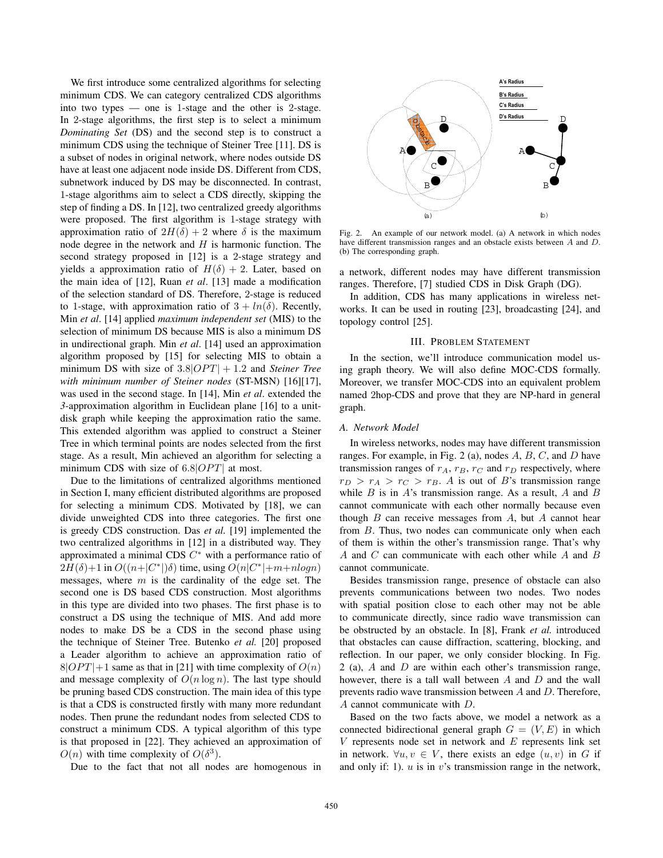We first introduce some centralized algorithms for selecting minimum CDS. We can category centralized CDS algorithms into two types — one is 1-stage and the other is 2-stage. In 2-stage algorithms, the first step is to select a minimum *Dominating Set* (DS) and the second step is to construct a minimum CDS using the technique of Steiner Tree [11]. DS is a subset of nodes in original network, where nodes outside DS have at least one adjacent node inside DS. Different from CDS, subnetwork induced by DS may be disconnected. In contrast, 1-stage algorithms aim to select a CDS directly, skipping the step of finding a DS. In [12], two centralized greedy algorithms were proposed. The first algorithm is 1-stage strategy with approximation ratio of  $2H(\delta)+2$  where  $\delta$  is the maximum node degree in the network and  $H$  is harmonic function. The second strategy proposed in [12] is a 2-stage strategy and yields a approximation ratio of  $H(\delta)+2$ . Later, based on the main idea of [12], Ruan *et al*. [13] made a modification of the selection standard of DS. Therefore, 2-stage is reduced to 1-stage, with approximation ratio of  $3 + ln(\delta)$ . Recently, Min *et al*. [14] applied *maximum independent set* (MIS) to the selection of minimum DS because MIS is also a minimum DS in undirectional graph. Min *et al*. [14] used an approximation algorithm proposed by [15] for selecting MIS to obtain a minimum DS with size of 3.8|OPT<sup>|</sup> + 1.2 and *Steiner Tree with minimum number of Steiner nodes* (ST-MSN) [16][17], was used in the second stage. In [14], Min *et al*. extended the *3*-approximation algorithm in Euclidean plane [16] to a unitdisk graph while keeping the approximation ratio the same. This extended algorithm was applied to construct a Steiner Tree in which terminal points are nodes selected from the first stage. As a result, Min achieved an algorithm for selecting a minimum CDS with size of  $6.8|OPT|$  at most.

Due to the limitations of centralized algorithms mentioned in Section I, many efficient distributed algorithms are proposed for selecting a minimum CDS. Motivated by [18], we can divide unweighted CDS into three categories. The first one is greedy CDS construction. Das *et al.* [19] implemented the two centralized algorithms in [12] in a distributed way. They approximated a minimal CDS  $C^*$  with a performance ratio of  $2H(\delta)+1$  in  $O((n+|C^*|)\delta)$  time, using  $O(n|C^*|+m+nlogn)$ messages, where  $m$  is the cardinality of the edge set. The second one is DS based CDS construction. Most algorithms in this type are divided into two phases. The first phase is to construct a DS using the technique of MIS. And add more nodes to make DS be a CDS in the second phase using the technique of Steiner Tree. Butenko *et al.* [20] proposed a Leader algorithm to achieve an approximation ratio of  $8|OPT|+1$  same as that in [21] with time complexity of  $O(n)$ and message complexity of  $O(n \log n)$ . The last type should be pruning based CDS construction. The main idea of this type is that a CDS is constructed firstly with many more redundant nodes. Then prune the redundant nodes from selected CDS to construct a minimum CDS. A typical algorithm of this type is that proposed in [22]. They achieved an approximation of  $O(n)$  with time complexity of  $O(\delta^3)$ .

Due to the fact that not all nodes are homogenous in



Fig. 2. An example of our network model. (a) A network in which nodes have different transmission ranges and an obstacle exists between *A* and *D*. (b) The corresponding graph.

a network, different nodes may have different transmission ranges. Therefore, [7] studied CDS in Disk Graph (DG).

In addition, CDS has many applications in wireless networks. It can be used in routing [23], broadcasting [24], and topology control [25].

# III. PROBLEM STATEMENT

In the section, we'll introduce communication model using graph theory. We will also define MOC-CDS formally. Moreover, we transfer MOC-CDS into an equivalent problem named 2hop-CDS and prove that they are NP-hard in general graph.

# *A. Network Model*

In wireless networks, nodes may have different transmission ranges. For example, in Fig. 2 (a), nodes  $A, B, C$ , and  $D$  have transmission ranges of  $r_A$ ,  $r_B$ ,  $r_C$  and  $r_D$  respectively, where  $r_D > r_A > r_C > r_B$ . A is out of B's transmission range while  $B$  is in  $A$ 's transmission range. As a result,  $A$  and  $B$ cannot communicate with each other normally because even though  $B$  can receive messages from  $A$ , but  $A$  cannot hear from B. Thus, two nodes can communicate only when each of them is within the other's transmission range. That's why  $A$  and  $C$  can communicate with each other while  $A$  and  $B$ cannot communicate.

Besides transmission range, presence of obstacle can also prevents communications between two nodes. Two nodes with spatial position close to each other may not be able to communicate directly, since radio wave transmission can be obstructed by an obstacle. In [8], Frank *et al.* introduced that obstacles can cause diffraction, scattering, blocking, and reflection. In our paper, we only consider blocking. In Fig. 2 (a),  $\overline{A}$  and  $\overline{D}$  are within each other's transmission range, however, there is a tall wall between  $A$  and  $D$  and the wall prevents radio wave transmission between  $A$  and  $D$ . Therefore, A cannot communicate with D.

Based on the two facts above, we model a network as a connected bidirectional general graph  $G = (V, E)$  in which  $V$  represents node set in network and  $E$  represents link set in network.  $\forall u, v \in V$ , there exists an edge  $(u, v)$  in G if and only if: 1).  $u$  is in  $v$ 's transmission range in the network,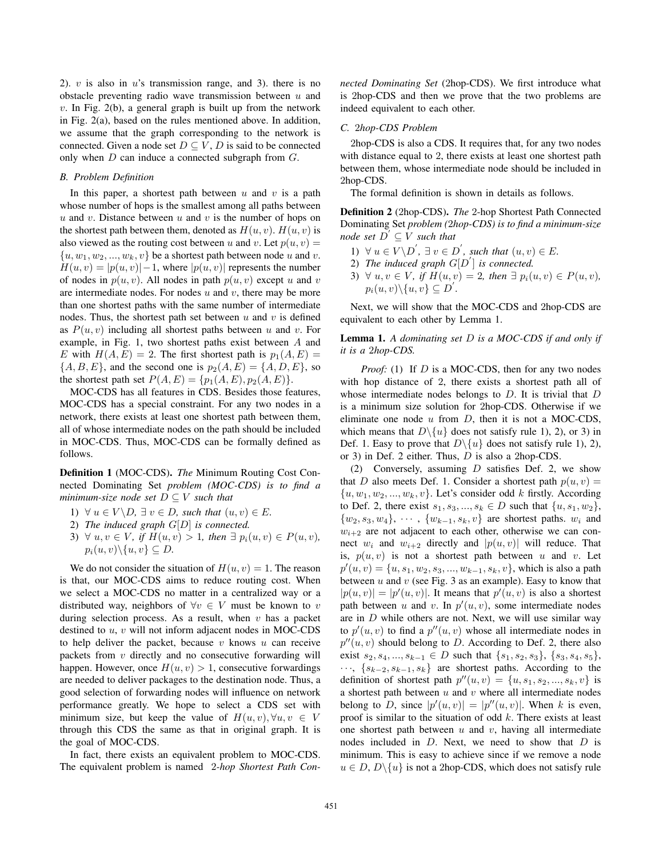2).  $v$  is also in  $u$ 's transmission range, and 3). there is no obstacle preventing radio wave transmission between  $u$  and  $v$ . In Fig. 2(b), a general graph is built up from the network in Fig. 2(a), based on the rules mentioned above. In addition, we assume that the graph corresponding to the network is connected. Given a node set  $D \subseteq V$ , D is said to be connected only when D can induce a connected subgraph from G.

# *B. Problem Definition*

In this paper, a shortest path between  $u$  and  $v$  is a path whose number of hops is the smallest among all paths between  $u$  and  $v$ . Distance between  $u$  and  $v$  is the number of hops on the shortest path between them, denoted as  $H(u, v)$ .  $H(u, v)$  is also viewed as the routing cost between u and v. Let  $p(u, v) =$  $\{u, w_1, w_2, ..., w_k, v\}$  be a shortest path between node u and v.  $H(u, v) = |p(u, v)| - 1$ , where  $|p(u, v)|$  represents the number of nodes in  $p(u, v)$ . All nodes in path  $p(u, v)$  except u and v are intermediate nodes. For nodes  $u$  and  $v$ , there may be more than one shortest paths with the same number of intermediate nodes. Thus, the shortest path set between  $u$  and  $v$  is defined as  $P(u, v)$  including all shortest paths between u and v. For example, in Fig. 1, two shortest paths exist between A and E with  $H(A, E)=2$ . The first shortest path is  $p_1(A, E) =$  ${A, B, E}$ , and the second one is  $p_2(A, E) = {A, D, E}$ , so the shortest path set  $P(A, E) = \{p_1(A, E), p_2(A, E)\}.$ 

MOC-CDS has all features in CDS. Besides those features, MOC-CDS has a special constraint. For any two nodes in a network, there exists at least one shortest path between them, all of whose intermediate nodes on the path should be included in MOC-CDS. Thus, MOC-CDS can be formally defined as follows.

**Definition 1** (MOC-CDS)**.** *The* Minimum Routing Cost Connected Dominating Set *problem (MOC-CDS) is to find a minimum-size node set* D ⊆ V *such that*

- 1)  $\forall u \in V \backslash D, \exists v \in D$ , such that  $(u, v) \in E$ .
- 2) *The induced graph* <sup>G</sup>[D] *is connected.*
- 3)  $\forall u, v \in V$ *, if*  $H(u, v) > 1$ *, then*  $\exists p_i(u, v) \in P(u, v)$ *,*  $p_i(u, v) \backslash \{u, v\} \subseteq D$ .

We do not consider the situation of  $H(u, v)=1$ . The reason is that, our MOC-CDS aims to reduce routing cost. When we select a MOC-CDS no matter in a centralized way or a distributed way, neighbors of  $\forall v \in V$  must be known to v during selection process. As a result, when  $v$  has a packet destined to u, v will not inform adjacent nodes in MOC-CDS to help deliver the packet, because  $v$  knows  $u$  can receive packets from  $v$  directly and no consecutive forwarding will happen. However, once  $H(u, v) > 1$ , consecutive forwardings are needed to deliver packages to the destination node. Thus, a good selection of forwarding nodes will influence on network performance greatly. We hope to select a CDS set with minimum size, but keep the value of  $H(u, v), \forall u, v \in V$ through this CDS the same as that in original graph. It is the goal of MOC-CDS.

In fact, there exists an equivalent problem to MOC-CDS. The equivalent problem is named 2*-hop Shortest Path Con-* *nected Dominating Set* (2hop-CDS). We first introduce what is 2hop-CDS and then we prove that the two problems are indeed equivalent to each other.

#### *C.* 2*hop-CDS Problem*

2hop-CDS is also a CDS. It requires that, for any two nodes with distance equal to 2, there exists at least one shortest path between them, whose intermediate node should be included in 2hop-CDS.

The formal definition is shown in details as follows.

**Definition 2** (2hop-CDS)**.** *The* 2-hop Shortest Path Connected Dominating Set *problem (*2*hop-CDS) is to find a minimum-size* node set  $D^{'} \subseteq V$  such that

- 1)  $\forall u \in V \backslash D'$ ,  $\exists v \in D'$ , such that  $(u, v) \in E$ .<br>2) The induced graph  $C[D']$  is connected
- 2) *The induced graph*  $G[D']$  *is connected.*<br>3)  $\forall u, v \in V$  *if*  $H(u, v) = 2$  *then*  $\exists v(u, v)$
- 3)  $\forall u, v \in V$ *, if*  $H(u, v) = 2$ *, then*  $\exists p_i(u, v) \in P(u, v)$ *,*  $p_i(u, v) \backslash \{u, v\} \subseteq D'$ .

Next, we will show that the MOC-CDS and 2hop-CDS are equivalent to each other by Lemma 1.

**Lemma 1.** *A dominating set* D *is a MOC-CDS if and only if it is a* 2*hop-CDS.*

*Proof:* (1) If *D* is a MOC-CDS, then for any two nodes with hop distance of 2, there exists a shortest path all of whose intermediate nodes belongs to  $D$ . It is trivial that  $D$ is a minimum size solution for 2hop-CDS. Otherwise if we eliminate one node  $u$  from  $D$ , then it is not a MOC-CDS, which means that  $D \setminus \{u\}$  does not satisfy rule 1), 2), or 3) in Def. 1. Easy to prove that  $D\backslash\{u\}$  does not satisfy rule 1), 2), or 3) in Def. 2 either. Thus, <sup>D</sup> is also a 2hop-CDS.

(2) Conversely, assuming D satisfies Def. 2, we show that D also meets Def. 1. Consider a shortest path  $p(u, v) =$  $\{u, w_1, w_2, ..., w_k, v\}$ . Let's consider odd k firstly. According to Def. 2, there exist  $s_1, s_3, ..., s_k \in D$  such that  $\{u, s_1, w_2\}$ ,  $\{w_2, s_3, w_4\}, \cdots, \{w_{k-1}, s_k, v\}$  are shortest paths.  $w_i$  and  $w_{i+2}$  are not adjacent to each other, otherwise we can connect  $w_i$  and  $w_{i+2}$  directly and  $|p(u, v)|$  will reduce. That is,  $p(u, v)$  is not a shortest path between u and v. Let  $p'(u, v) = \{u, s_1, w_2, s_3, ..., w_{k-1}, s_k, v\}$ , which is also a path between u and u (see Fig. 3 as an example). Easy to know that between  $u$  and  $v$  (see Fig. 3 as an example). Easy to know that  $|p(u, v)| = |p'(u, v)|$ . It means that  $p'(u, v)$  is also a shortest<br>nath between u and u. In  $p'(u, v)$  some intermediate nodes path between u and v. In  $p'(u, v)$ , some intermediate nodes<br>are in D while others are not Next, we will use similar way are in  $D$  while others are not. Next, we will use similar way to  $p'(u, v)$  to find a  $p''(u, v)$  whose all intermediate nodes in  $p''(u, v)$  should belong to D. According to Def. 2, there also  $p''(u, v)$  should belong to D. According to Def. 2, there also exist  $s_2, s_4, ..., s_{k-1} \in D$  such that  $\{s_1, s_2, s_3\}, \{s_3, s_4, s_5\},\$  $\cdots$ ,  $\{s_{k-2}, s_{k-1}, s_k\}$  are shortest paths. According to the definition of shortest path  $p''(u, v) = \{u, s_1, s_2, ..., s_k, v\}$  is a shortest path between  $u$  and  $v$  where all intermediate nodes belong to D, since  $|p'(u, v)| = |p''(u, v)|$ . When k is even,<br>proof is similar to the situation of odd k. There exists at least proof is similar to the situation of odd  $k$ . There exists at least one shortest path between  $u$  and  $v$ , having all intermediate nodes included in  $D$ . Next, we need to show that  $D$  is minimum. This is easy to achieve since if we remove a node  $u \in D$ ,  $D \setminus \{u\}$  is not a 2hop-CDS, which does not satisfy rule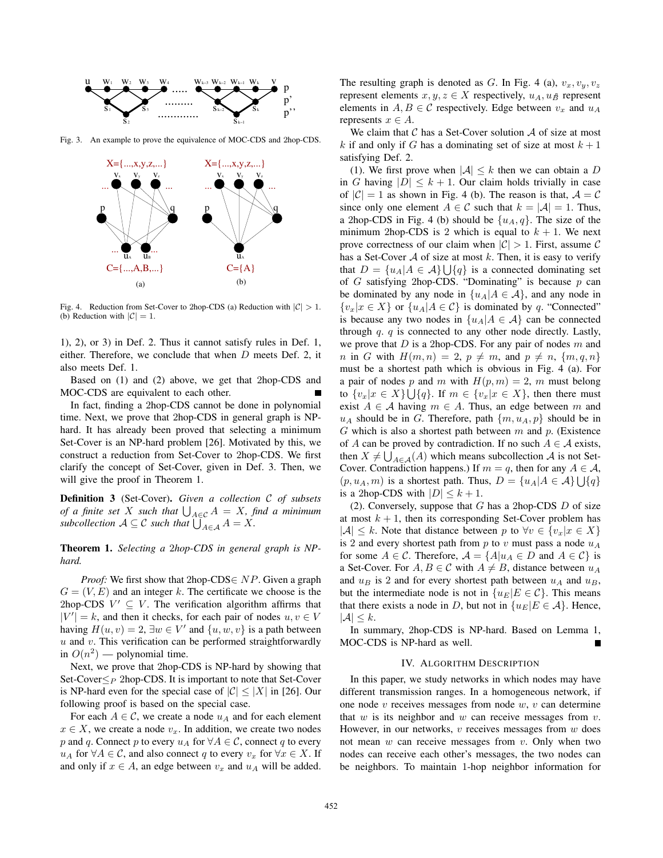

Fig. 3. An example to prove the equivalence of MOC-CDS and 2hop-CDS.



Fig. 4. Reduction from Set-Cover to 2hop-CDS (a) Reduction with  $|C| > 1$ . (b) Reduction with  $|C| = 1$ .

1), 2), or 3) in Def. 2. Thus it cannot satisfy rules in Def. 1, either. Therefore, we conclude that when D meets Def. 2, it also meets Def. 1.

Based on (1) and (2) above, we get that 2hop-CDS and MOC-CDS are equivalent to each other.

In fact, finding a 2hop-CDS cannot be done in polynomial time. Next, we prove that 2hop-CDS in general graph is NPhard. It has already been proved that selecting a minimum Set-Cover is an NP-hard problem [26]. Motivated by this, we construct a reduction from Set-Cover to 2hop-CDS. We first clarify the concept of Set-Cover, given in Def. 3. Then, we will give the proof in Theorem 1.

**Definition 3** (Set-Cover)**.** *Given a collection* C *of subsets of a finite set* X *such that*  $\bigcup_{A \in \mathcal{C}} A = X$ *, find a minimum* subcollection  $A \subset \mathcal{C}$  such that  $\bigcup_{A = X} A = X$  $subcollection \mathcal{A} \subseteq \mathcal{C} \text{ such that } \bigcup_{A \in \mathcal{A}} A = X.$ 

**Theorem 1.** *Selecting a* 2*hop-CDS in general graph is NPhard.*

*Proof:* We first show that 2hop-CDS∈ NP. Given a graph  $G = (V, E)$  and an integer k. The certificate we choose is the 2hop-CDS  $V' \subseteq V$ . The verification algorithm affirms that  $|V'| = k$ , and then it checks, for each pair of nodes  $u, v \in V$ <br>having  $H(u, v) = 2$ ,  $\exists w \in V'$  and  $\{u, w, v\}$  is a path between having  $H(u, v) = 2$ ,  $\exists w \in V'$  and  $\{u, w, v\}$  is a path between  $u$  and  $v$ . This verification can be performed straightforwardly in  $O(n^2)$  — polynomial time.

Next, we prove that 2hop-CDS is NP-hard by showing that Set-Cover $\leq_P 2$ hop-CDS. It is important to note that Set-Cover is NP-hard even for the special case of  $|C| \leq |X|$  in [26]. Our following proof is based on the special case.

For each  $A \in \mathcal{C}$ , we create a node  $u_A$  and for each element  $x \in X$ , we create a node  $v<sub>x</sub>$ . In addition, we create two nodes p and q. Connect p to every  $u_A$  for  $\forall A \in \mathcal{C}$ , connect q to every  $u_A$  for  $\forall A \in \mathcal{C}$ , and also connect q to every  $v_x$  for  $\forall x \in X$ . If and only if  $x \in A$ , an edge between  $v_x$  and  $u_A$  will be added.

p, represent elements  $x, y, z \in X$  respectively,  $u_A, u_B$  represent The resulting graph is denoted as G. In Fig. 4 (a),  $v_x, v_y, v_z$ elements in  $A, B \in \mathcal{C}$  respectively. Edge between  $v_x$  and  $u_A$ represents  $x \in A$ .

> We claim that  $\mathcal C$  has a Set-Cover solution  $\mathcal A$  of size at most k if and only if G has a dominating set of size at most  $k + 1$ satisfying Def. 2.

> (1). We first prove when  $|\mathcal{A}| \leq k$  then we can obtain a D in G having  $|D| \leq k + 1$ . Our claim holds trivially in case of  $|C| = 1$  as shown in Fig. 4 (b). The reason is that,  $A = C$ since only one element  $A \in \mathcal{C}$  such that  $k = |\mathcal{A}| = 1$ . Thus, a 2hop-CDS in Fig. 4 (b) should be  $\{u_A, q\}$ . The size of the minimum 2hop-CDS is 2 which is equal to  $k + 1$ . We next prove correctness of our claim when  $|\mathcal{C}| > 1$ . First, assume C has a Set-Cover  $A$  of size at most k. Then, it is easy to verify that  $D = \{u_A | A \in \mathcal{A}\} \cup \{q\}$  is a connected dominating set<br>of G satisfying 2bon-CDS "Dominating" is because n can of G satisfying 2hop-CDS. "Dominating" is because  $p$  can be dominated by any node in  $\{u_A | A \in \mathcal{A}\}\$ , and any node in  $\{v_x | x \in X\}$  or  $\{u_A | A \in \mathcal{C}\}\$ is dominated by q. "Connected" is because any two nodes in  $\{u_A | A \in \mathcal{A}\}\)$  can be connected through  $q$ .  $q$  is connected to any other node directly. Lastly, we prove that  $D$  is a 2hop-CDS. For any pair of nodes  $m$  and *n* in G with  $H(m, n) = 2$ ,  $p \neq m$ , and  $p \neq n$ ,  $\{m, q, n\}$ must be a shortest path which is obvious in Fig. 4 (a). For a pair of nodes p and m with  $H(p, m)=2$ , m must belong to  $\{v_x|x \in X\} \bigcup \{q\}$ . If  $m \in \{v_x|x \in X\}$ , then there must exist  $A \in \mathcal{A}$  having  $m \in A$ . Thus, an edge between m and  $u_A$  should be in G. Therefore, path  $\{m, u_A, p\}$  should be in G which is also a shortest path between  $m$  and  $p$ . (Existence of A can be proved by contradiction. If no such  $A \in \mathcal{A}$  exists, then  $X \neq \bigcup_{A \in \mathcal{A}} (A)$  which means subcollection  $A$  is not Set-<br>Cover Contradiction happens) If  $m = a$  then for any  $A \in A$ Cover. Contradiction happens.) If  $m = q$ , then for any  $A \in \mathcal{A}$ ,  $(p, u<sub>A</sub>, m)$  is a shortest path. Thus,  $D = {u<sub>A</sub> | A \in A} \bigcup {q}$ <br>is a 2hon-CDS with  $|D| < k+1$ is a 2hop-CDS with  $|D| \leq k+1$ .

> (2). Conversely, suppose that  $G$  has a 2hop-CDS  $D$  of size at most  $k + 1$ , then its corresponding Set-Cover problem has  $|A| \leq k$ . Note that distance between p to  $\forall v \in \{v_x | x \in X\}$ is 2 and every shortest path from p to v must pass a node  $u_A$ for some  $A \in \mathcal{C}$ . Therefore,  $\mathcal{A} = \{A | u_A \in D \text{ and } A \in \mathcal{C}\}\$ is a Set-Cover. For  $A, B \in \mathcal{C}$  with  $A \neq B$ , distance between  $u_A$ and  $u_B$  is 2 and for every shortest path between  $u_A$  and  $u_B$ , but the intermediate node is not in  $\{u_E|E \in C\}$ . This means that there exists a node in D, but not in  $\{u_E|E \in \mathcal{A}\}\.$  Hence,  $|\mathcal{A}| \leq k$ .

> In summary, 2hop-CDS is NP-hard. Based on Lemma 1, MOC-CDS is NP-hard as well.

#### IV. ALGORITHM DESCRIPTION

In this paper, we study networks in which nodes may have different transmission ranges. In a homogeneous network, if one node  $v$  receives messages from node  $w$ ,  $v$  can determine that w is its neighbor and w can receive messages from v. However, in our networks,  $v$  receives messages from  $w$  does not mean  $w$  can receive messages from  $v$ . Only when two nodes can receive each other's messages, the two nodes can be neighbors. To maintain 1-hop neighbor information for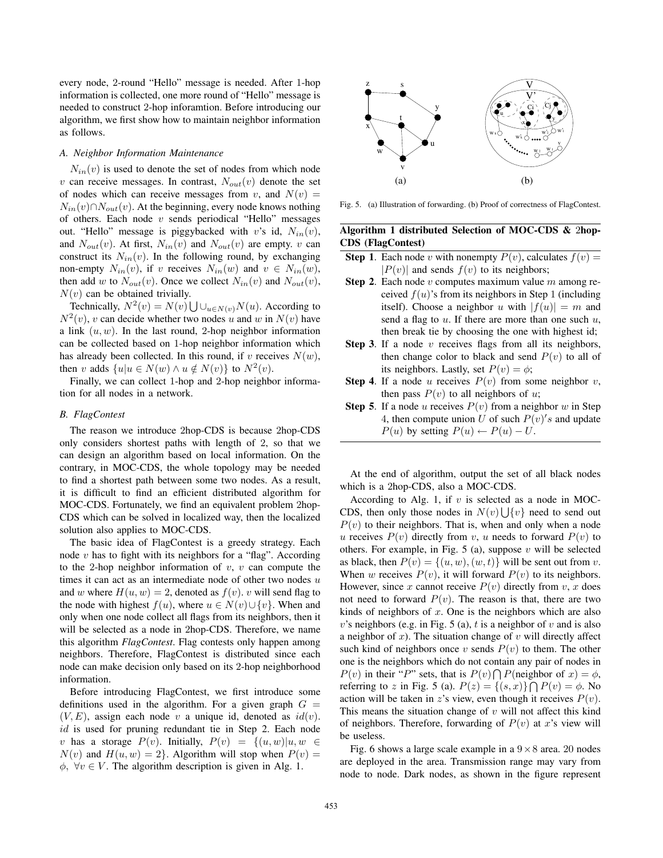every node, 2-round "Hello" message is needed. After 1-hop information is collected, one more round of "Hello" message is needed to construct 2-hop inforamtion. Before introducing our algorithm, we first show how to maintain neighbor information as follows.

### *A. Neighbor Information Maintenance*

 $N_{in}(v)$  is used to denote the set of nodes from which node v can receive messages. In contrast,  $N_{out}(v)$  denote the set of nodes which can receive messages from v, and  $N(v) =$  $N_{in}(v) \cap N_{out}(v)$ . At the beginning, every node knows nothing of others. Each node  $v$  sends periodical "Hello" messages out. "Hello" message is piggybacked with v's id,  $N_{in}(v)$ , and  $N_{out}(v)$ . At first,  $N_{in}(v)$  and  $N_{out}(v)$  are empty. v can construct its  $N_{in}(v)$ . In the following round, by exchanging non-empty  $N_{in}(v)$ , if v receives  $N_{in}(w)$  and  $v \in N_{in}(w)$ , then add w to  $N_{out}(v)$ . Once we collect  $N_{in}(v)$  and  $N_{out}(v)$ ,  $N(v)$  can be obtained trivially.

Technically,  $N^2(v) = N(v) \bigcup \bigcup_{u \in N(v)} N(u)$ . According to  $\mathbb{R}^{2(v)}$ , we can decide whether two nodes u and w in  $N(v)$  have  $N^2(v)$ , v can decide whether two nodes u and w in  $N(v)$  have a link  $(u, w)$ . In the last round, 2-hop neighbor information can be collected based on 1-hop neighbor information which has already been collected. In this round, if v receives  $N(w)$ , then v adds  $\{u|u \in N(w) \wedge u \notin N(v)\}\)$  to  $N^2(v)$ .

Finally, we can collect 1-hop and 2-hop neighbor information for all nodes in a network.

## *B. FlagContest*

The reason we introduce 2hop-CDS is because 2hop-CDS only considers shortest paths with length of 2, so that we can design an algorithm based on local information. On the contrary, in MOC-CDS, the whole topology may be needed to find a shortest path between some two nodes. As a result, it is difficult to find an efficient distributed algorithm for MOC-CDS. Fortunately, we find an equivalent problem 2hop-CDS which can be solved in localized way, then the localized solution also applies to MOC-CDS.

The basic idea of FlagContest is a greedy strategy. Each node  $v$  has to fight with its neighbors for a "flag". According to the 2-hop neighbor information of  $v, v$  can compute the times it can act as an intermediate node of other two nodes u and w where  $H(u, w) = 2$ , denoted as  $f(v)$ . v will send flag to the node with highest  $f(u)$ , where  $u \in N(v) \cup \{v\}$ . When and only when one node collect all flags from its neighbors, then it will be selected as a node in 2hop-CDS. Therefore, we name this algorithm *FlagContest*. Flag contests only happen among neighbors. Therefore, FlagContest is distributed since each node can make decision only based on its 2-hop neighborhood information.

Before introducing FlagContest, we first introduce some definitions used in the algorithm. For a given graph  $G =$  $(V, E)$ , assign each node v a unique id, denoted as  $id(v)$ . id is used for pruning redundant tie in Step 2. Each node v has a storage  $P(v)$ . Initially,  $P(v) = \{(u, w) | u, w \in$  $N(v)$  and  $H(u, w) = 2$ . Algorithm will stop when  $P(v) =$  $\phi$ ,  $\forall v \in V$ . The algorithm description is given in Alg. 1.



Fig. 5. (a) Illustration of forwarding. (b) Proof of correctness of FlagContest.

# **Algorithm 1 distributed Selection of MOC-CDS &** 2**hop-CDS (FlagContest)**

- **Step 1.** Each node v with nonempty  $P(v)$ , calculates  $f(v)$  =  $|P(v)|$  and sends  $f(v)$  to its neighbors;
- **Step 2.** Each node v computes maximum value m among received  $f(u)$ 's from its neighbors in Step 1 (including itself). Choose a neighbor u with  $|f(u)| = m$  and send a flag to  $u$ . If there are more than one such  $u$ , then break tie by choosing the one with highest id;
- **Step 3**. If a node v receives flags from all its neighbors, then change color to black and send  $P(v)$  to all of its neighbors. Lastly, set  $P(v) = \phi$ ;
- **Step 4**. If a node u receives  $P(v)$  from some neighbor v, then pass  $P(v)$  to all neighbors of u;
- **Step 5**. If a node u receives  $P(v)$  from a neighbor w in Step 4, then compute union U of such  $P(v)'s$  and update<br> $P(v)$  by setting  $P(v) \leftarrow P(v) - U$  $P(u)$  by setting  $P(u) \leftarrow P(u) - U$ .

At the end of algorithm, output the set of all black nodes which is a 2hop-CDS, also a MOC-CDS.

According to Alg. 1, if  $v$  is selected as a node in MOC-CDS, then only those nodes in  $N(v) \bigcup \{v\}$  need to send out  $P(v)$  to their neighbors. That is when and only when a node  $P(v)$  to their neighbors. That is, when and only when a node u receives  $P(v)$  directly from v, u needs to forward  $P(v)$  to others. For example, in Fig.  $5$  (a), suppose v will be selected as black, then  $P(v) = \{(u, w), (w, t)\}\$  will be sent out from v. When w receives  $P(v)$ , it will forward  $P(v)$  to its neighbors. However, since x cannot receive  $P(v)$  directly from v, x does not need to forward  $P(v)$ . The reason is that, there are two kinds of neighbors of x. One is the neighbors which are also  $v$ 's neighbors (e.g. in Fig. 5 (a), t is a neighbor of v and is also a neighbor of  $x$ ). The situation change of  $v$  will directly affect such kind of neighbors once v sends  $P(v)$  to them. The other one is the neighbors which do not contain any pair of nodes in  $P(v)$  in their "P" sets, that is  $P(v) \bigcap P$  (neighbor of  $x = \phi$ ,<br>referring to  $\chi$  in Fig. 5.(a),  $P(x) = f(s, x) \bigcap P(u) = \phi$ . No referring to z in Fig. 5 (a).  $P(z) = \{(s, x)\} \bigcap P(v) = \phi$ . No<br>action will be taken in z's view, even though it receives  $P(v)$ . action will be taken in z's view, even though it receives  $P(v)$ . This means the situation change of  $v$  will not affect this kind of neighbors. Therefore, forwarding of  $P(v)$  at x's view will be useless.

Fig. 6 shows a large scale example in a  $9 \times 8$  area. 20 nodes are deployed in the area. Transmission range may vary from node to node. Dark nodes, as shown in the figure represent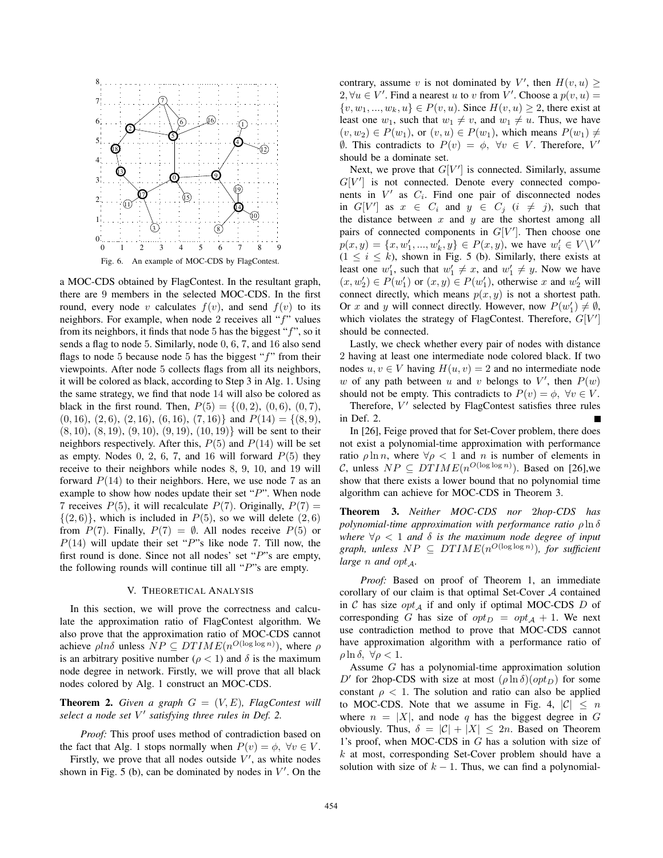

a MOC-CDS obtained by FlagContest. In the resultant graph, there are 9 members in the selected MOC-CDS. In the first round, every node v calculates  $f(v)$ , and send  $f(v)$  to its neighbors. For example, when node 2 receives all "f" values from its neighbors, it finds that node 5 has the biggest "f", so it sends a flag to node 5. Similarly, node 0, 6, 7, and 16 also send flags to node 5 because node 5 has the biggest " $f$ " from their viewpoints. After node 5 collects flags from all its neighbors, it will be colored as black, according to Step 3 in Alg. 1. Using the same strategy, we find that node 14 will also be colored as black in the first round. Then,  $P(5) = \{(0, 2), (0, 6), (0, 7),\}$  $(0, 16), (2, 6), (2, 16), (6, 16), (7, 16)$  and  $P(14) = \{(8, 9),$  $(8, 10), (8, 19), (9, 10), (9, 19), (10, 19)$  will be sent to their neighbors respectively. After this,  $P(5)$  and  $P(14)$  will be set as empty. Nodes 0, 2, 6, 7, and 16 will forward  $P(5)$  they receive to their neighbors while nodes 8, 9, 10, and 19 will forward  $P(14)$  to their neighbors. Here, we use node 7 as an example to show how nodes update their set "P". When node 7 receives  $P(5)$ , it will recalculate  $P(7)$ . Originally,  $P(7) =$  $\{(2,6)\}\)$ , which is included in  $P(5)$ , so we will delete  $(2,6)$ from  $P(7)$ . Finally,  $P(7) = \emptyset$ . All nodes receive  $P(5)$  or  $P(14)$  will update their set "P"s like node 7. Till now, the first round is done. Since not all nodes' set " $P$ "s are empty, the following rounds will continue till all " $P$ "s are empty.

## V. THEORETICAL ANALYSIS

In this section, we will prove the correctness and calculate the approximation ratio of FlagContest algorithm. We also prove that the approximation ratio of MOC-CDS cannot achieve  $\rho ln\delta$  unless  $NP \subseteq DTIME(n^{O(\log \log n)})$ , where  $\rho$ <br>is an arbitrary positive number  $(\rho < 1)$  and  $\delta$  is the maximum is an arbitrary positive number ( $\rho$  < 1) and  $\delta$  is the maximum node degree in network. Firstly, we will prove that all black nodes colored by Alg. 1 construct an MOC-CDS.

**Theorem 2.** *Given a graph*  $G = (V, E)$ *, FlagContest will select a node set* V' *satisfying three rules in Def. 2.* 

*Proof:* This proof uses method of contradiction based on the fact that Alg. 1 stops normally when  $P(v) = \phi$ ,  $\forall v \in V$ .

Firstly, we prove that all nodes outside  $V'$ , as white nodes shown in Fig. 5 (b), can be dominated by nodes in  $V'$ . On the

contrary, assume v is not dominated by V', then  $H(v, u) \ge$ <br>  $2 \forall u \in V'$  Find a nearest u to u from V' Choose a  $p(v, u)$ 2,  $\forall u \in V'$ . Find a nearest u to v from V'. Choose a  $p(v, u) =$ <br>  $\{v, w\}$   $\leq P(v, u)$  Since  $H(v, u) \geq 2$  there exist at  $\{v, w_1, ..., w_k, u\} \in P(v, u)$ . Since  $H(v, u) \ge 2$ , there exist at least one  $w_1$ , such that  $w_1 \neq v$ , and  $w_1 \neq u$ . Thus, we have  $(v, w_2) \in P(w_1)$ , or  $(v, u) \in P(w_1)$ , which means  $P(w_1) \neq$  $\emptyset$ . This contradicts to  $P(v) = φ$ , ∀v ∈ V. Therefore, V' should be a dominate set.

Next, we prove that  $G[V']$  is connected. Similarly, assume  $V'$  is not connected. Denote every connected compo- $G[V']$  is not connected. Denote every connected components in  $V'$  as  $C$ . Find one pair of disconnected nodes nents in  $V'$  as  $C_i$ . Find one pair of disconnected nodes in  $G[V']$  as  $x \in C_i$  and  $y \in C_j$   $(i \neq j)$ , such that the distance between  $x$  and  $y$  are the shortest among all the distance between  $x$  and  $y$  are the shortest among all pairs of connected components in  $G[V']$ . Then choose one<br>  $p(x, y) = \{x, y' \mid y \in P(x, y) \text{ and } y \in V\}$  $p(x, y) = \{x, w'_1, ..., w'_k, y\} \in P(x, y)$ , we have  $w'_i \in V \setminus V'$ <br>(1 < *i* < *k*) shown in Fig. 5 (b) Similarly there exists at  $(1 \le i \le k)$ , shown in Fig. 5 (b). Similarly, there exists at least one  $w'_1$ , such that  $w'_1 \neq x$ , and  $w'_1 \neq y$ . Now we have  $(x, w') \in P(w')$  or  $(x, w) \in P(w')$  otherwise x and  $w'$  will  $(x, w_2') \in P(w_1')$  or  $(x, y) \in P(w_1')$ , otherwise x and  $w_2'$  will<br>connect directly which means  $p(x, y)$  is not a shortest nath connect directly, which means  $p(x, y)$  is not a shortest path. Or x and y will connect directly. However, now  $P(w_1') \neq \emptyset$ ,<br>which violates the strategy of ElagContest, Therefore,  $C[V']$ which violates the strategy of FlagContest. Therefore,  $G[V']$ <br>should be connected should be connected.

Lastly, we check whether every pair of nodes with distance 2 having at least one intermediate node colored black. If two nodes  $u, v \in V$  having  $H(u, v) = 2$  and no intermediate node w of any path between u and v belongs to V', then  $P(w)$ <br>should not be empty. This contradicts to  $P(w) = \phi_0 \forall w \in V$ should not be empty. This contradicts to  $P(v) = \phi$ ,  $\forall v \in V$ .

Therefore,  $V'$  selected by FlagContest satisfies three rules in Def. 2.

In [26], Feige proved that for Set-Cover problem, there does not exist a polynomial-time approximation with performance ratio  $\rho \ln n$ , where  $\forall \rho < 1$  and n is number of elements in C, unless  $NP \subseteq DTIME(n^{O(\log \log n)})$ . Based on [26], we show that there exists a lower bound that no polynomial time show that there exists a lower bound that no polynomial time algorithm can achieve for MOC-CDS in Theorem 3.

**Theorem 3.** *Neither MOC-CDS nor* 2*hop-CDS has polynomial-time approximation with performance ratio* <sup>ρ</sup> ln <sup>δ</sup> *where* <sup>∀</sup>ρ < 1 *and* <sup>δ</sup> *is the maximum node degree of input graph, unless*  $NP \subseteq DTIME(n^{O(\log \log n)})$ *, for sufficient arge n and ont i large*  $n$  *and*  $opt_A$ *.* 

*Proof:* Based on proof of Theorem 1, an immediate corollary of our claim is that optimal Set-Cover  $A$  contained in C has size  $opt_A$  if and only if optimal MOC-CDS D of corresponding G has size of  $opt_D = opt_A + 1$ . We next use contradiction method to prove that MOC-CDS cannot have approximation algorithm with a performance ratio of  $\rho \ln \delta$ ,  $\forall \rho < 1$ .

Assume G has a polynomial-time approximation solution D' for 2hop-CDS with size at most  $(\rho \ln \delta)(opt_D)$  for some constant  $\rho$  < 1. The solution and ratio can also be applied to MOC-CDS. Note that we assume in Fig. 4,  $|\mathcal{C}| \leq n$ where  $n = |X|$ , and node q has the biggest degree in G obviously. Thus,  $\delta = |\mathcal{C}| + |X| < 2n$ . Based on Theorem 1's proof, when MOC-CDS in G has a solution with size of  $k$  at most, corresponding Set-Cover problem should have a solution with size of  $k - 1$ . Thus, we can find a polynomial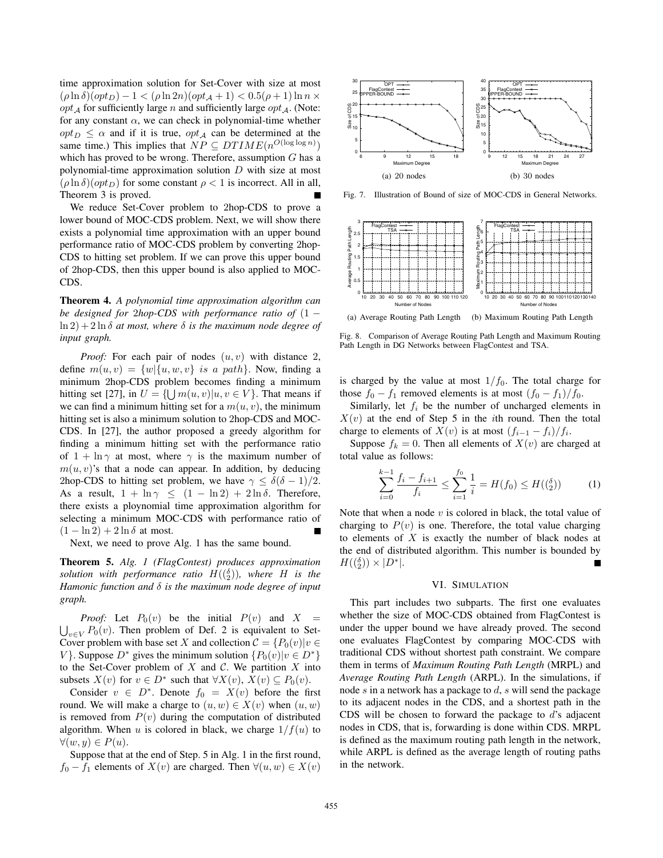time approximation solution for Set-Cover with size at most  $(\rho \ln \delta)(\rho p t_D) - 1 < (\rho \ln 2n)(\rho p t_A + 1) < 0.5(\rho + 1) \ln n \times$  $opt_A$  for sufficiently large n and sufficiently large  $opt_A$ . (Note: for any constant  $\alpha$ , we can check in polynomial-time whether  $opt_D \leq \alpha$  and if it is true,  $opt_A$  can be determined at the same time.) This implies that  $NP \subseteq DTIME(n^{O(\log \log n)})$ which has proved to be wrong. Therefore, assumption  $G$  has a polynomial-time approximation solution  $D$  with size at most  $(\rho \ln \delta)(\omega p t_D)$  for some constant  $\rho < 1$  is incorrect. All in all, Theorem 3 is proved.

We reduce Set-Cover problem to 2hop-CDS to prove a lower bound of MOC-CDS problem. Next, we will show there exists a polynomial time approximation with an upper bound performance ratio of MOC-CDS problem by converting 2hop-CDS to hitting set problem. If we can prove this upper bound of 2hop-CDS, then this upper bound is also applied to MOC-CDS.

**Theorem 4.** *A polynomial time approximation algorithm can be designed for* 2*hop-CDS with performance ratio of* (1 <sup>−</sup> ln 2) + 2 ln <sup>δ</sup> *at most, where* <sup>δ</sup> *is the maximum node degree of input graph.*

*Proof:* For each pair of nodes  $(u, v)$  with distance 2, define  $m(u, v) = \{w | \{u, w, v\}$  is a path. Now, finding a minimum 2hop-CDS problem becomes finding a minimum hitting set [27], in  $U = \{ \bigcup m(u, v) | u, v \in V \}$ . That means if we can find a minimum hitting set for a  $m(u, v)$ , the minimum hitting set is also a minimum solution to 2hop-CDS and MOC-CDS. In [27], the author proposed a greedy algorithm for finding a minimum hitting set with the performance ratio of  $1 + \ln \gamma$  at most, where  $\gamma$  is the maximum number of  $m(u, v)$ 's that a node can appear. In addition, by deducing 2hop-CDS to hitting set problem, we have  $\gamma \leq \delta(\delta - 1)/2$ . As a result,  $1 + \ln \gamma \leq (1 - \ln 2) + 2 \ln \delta$ . Therefore, there exists a ploynomial time approximation algorithm for selecting a minimum MOC-CDS with performance ratio of  $(1 - \ln 2) + 2 \ln \delta$  at most.

Next, we need to prove Alg. 1 has the same bound.

**Theorem 5.** *Alg. 1 (FlagContest) produces approximation solution with performance ratio*  $H((\delta))$ *, where* H is the<br>Hamonic function and  $\delta$  is the maximum node degree of input *Hamonic function and* δ *is the maximum node degree of input graph.*

*Proof:* Let  $P_0(v)$  be the initial  $P(v)$  and  $X = \bigcup_{v \in V} P_0(v)$ . Then problem of Def. 2 is equivalent to Set- $\bigcup_{v \in V} P_0(v)$ . Then problem of Def. 2 is equivalent to Set-<br>Cover problem with base set X and collection  $C = {E_0(y)|_v \in \mathbb{R}^{n \times n}}$ Cover problem with base set X and collection  $C = {P_0(v)|v \in \mathbb{R}^n}$ V }. Suppose  $D^*$  gives the minimum solution  $\{P_0(v)|v \in D^*\}$ to the Set-Cover problem of  $X$  and  $C$ . We partition  $X$  into subsets  $X(v)$  for  $v \in D^*$  such that  $\forall X(v), X(v) \subseteq P_0(v)$ .

Consider  $v \in D^*$ . Denote  $f_0 = X(v)$  before the first round. We will make a charge to  $(u, w) \in X(v)$  when  $(u, w)$ is removed from  $P(v)$  during the computation of distributed algorithm. When u is colored in black, we charge  $1/f(u)$  to  $\forall (w, y) \in P(u).$ 

Suppose that at the end of Step. 5 in Alg. 1 in the first round,  $f_0 - f_1$  elements of  $X(v)$  are charged. Then  $\forall (u, w) \in X(v)$ 



Fig. 7. Illustration of Bound of size of MOC-CDS in General Networks.



Fig. 8. Comparison of Average Routing Path Length and Maximum Routing Path Length in DG Networks between FlagContest and TSA.

is charged by the value at most  $1/f_0$ . The total charge for those  $f_0 - f_1$  removed elements is at most  $(f_0 - f_1)/f_0$ .

Similarly, let  $f_i$  be the number of uncharged elements in  $X(v)$  at the end of Step 5 in the *i*th round. Then the total charge to elements of  $X(v)$  is at most  $(f_{i-1} - f_i)/f_i$ .

Suppose  $f_k = 0$ . Then all elements of  $X(v)$  are charged at total value as follows:

$$
\sum_{i=0}^{k-1} \frac{f_i - f_{i+1}}{f_i} \le \sum_{i=1}^{f_0} \frac{1}{i} = H(f_0) \le H(\binom{\delta}{2}) \tag{1}
$$

Note that when a node  $v$  is colored in black, the total value of charging to  $P(v)$  is one. Therefore, the total value charging to elements of  $X$  is exactly the number of black nodes at the end of distributed algorithm. This number is bounded by  $H((\begin{smallmatrix} \delta \\ 2 \end{smallmatrix})) \times |D^*|.$ 

# VI. SIMULATION

This part includes two subparts. The first one evaluates whether the size of MOC-CDS obtained from FlagContest is under the upper bound we have already proved. The second one evaluates FlagContest by comparing MOC-CDS with traditional CDS without shortest path constraint. We compare them in terms of *Maximum Routing Path Length* (MRPL) and *Average Routing Path Length* (ARPL). In the simulations, if node s in a network has a package to  $d$ , s will send the package to its adjacent nodes in the CDS, and a shortest path in the CDS will be chosen to forward the package to  $d$ 's adjacent nodes in CDS, that is, forwarding is done within CDS. MRPL is defined as the maximum routing path length in the network, while ARPL is defined as the average length of routing paths in the network.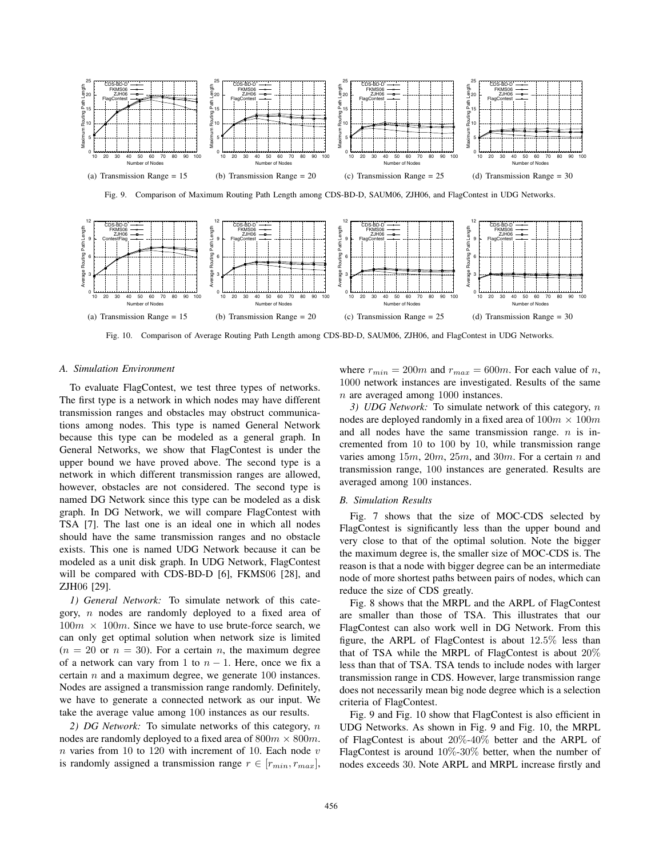

Fig. 9. Comparison of Maximum Routing Path Length among CDS-BD-D, SAUM06, ZJH06, and FlagContest in UDG Networks.



Fig. 10. Comparison of Average Routing Path Length among CDS-BD-D, SAUM06, ZJH06, and FlagContest in UDG Networks.

### *A. Simulation Environment*

To evaluate FlagContest, we test three types of networks. The first type is a network in which nodes may have different transmission ranges and obstacles may obstruct communications among nodes. This type is named General Network because this type can be modeled as a general graph. In General Networks, we show that FlagContest is under the upper bound we have proved above. The second type is a network in which different transmission ranges are allowed, however, obstacles are not considered. The second type is named DG Network since this type can be modeled as a disk graph. In DG Network, we will compare FlagContest with TSA [7]. The last one is an ideal one in which all nodes should have the same transmission ranges and no obstacle exists. This one is named UDG Network because it can be modeled as a unit disk graph. In UDG Network, FlagContest will be compared with CDS-BD-D [6], FKMS06 [28], and ZJH06 [29].

*1) General Network:* To simulate network of this category, n nodes are randomly deployed to a fixed area of  $100m \times 100m$ . Since we have to use brute-force search, we can only get optimal solution when network size is limited  $(n = 20 \text{ or } n = 30)$ . For a certain *n*, the maximum degree of a network can vary from 1 to  $n - 1$ . Here, once we fix a certain  $n$  and a maximum degree, we generate 100 instances. Nodes are assigned a transmission range randomly. Definitely, we have to generate a connected network as our input. We take the average value among 100 instances as our results.

*2) DG Network:* To simulate networks of this category, n nodes are randomly deployed to a fixed area of  $800m \times 800m$ .  $n$  varies from 10 to 120 with increment of 10. Each node  $v$ is randomly assigned a transmission range  $r \in [r_{min}, r_{max}]$ , where  $r_{min} = 200m$  and  $r_{max} = 600m$ . For each value of n, 1000 network instances are investigated. Results of the same <sup>n</sup> are averaged among 1000 instances.

*3) UDG Network:* To simulate network of this category, n nodes are deployed randomly in a fixed area of  $100m \times 100m$ and all nodes have the same transmission range.  $n$  is incremented from 10 to 100 by 10, while transmission range varies among  $15m$ ,  $20m$ ,  $25m$ , and  $30m$ . For a certain n and transmission range, 100 instances are generated. Results are averaged among 100 instances.

# *B. Simulation Results*

Fig. 7 shows that the size of MOC-CDS selected by FlagContest is significantly less than the upper bound and very close to that of the optimal solution. Note the bigger the maximum degree is, the smaller size of MOC-CDS is. The reason is that a node with bigger degree can be an intermediate node of more shortest paths between pairs of nodes, which can reduce the size of CDS greatly.

Fig. 8 shows that the MRPL and the ARPL of FlagContest are smaller than those of TSA. This illustrates that our FlagContest can also work well in DG Network. From this figure, the ARPL of FlagContest is about 12.5% less than that of TSA while the MRPL of FlagContest is about 20% less than that of TSA. TSA tends to include nodes with larger transmission range in CDS. However, large transmission range does not necessarily mean big node degree which is a selection criteria of FlagContest.

Fig. 9 and Fig. 10 show that FlagContest is also efficient in UDG Networks. As shown in Fig. 9 and Fig. 10, the MRPL of FlagContest is about 20%-40% better and the ARPL of FlagContest is around 10%-30% better, when the number of nodes exceeds 30. Note ARPL and MRPL increase firstly and